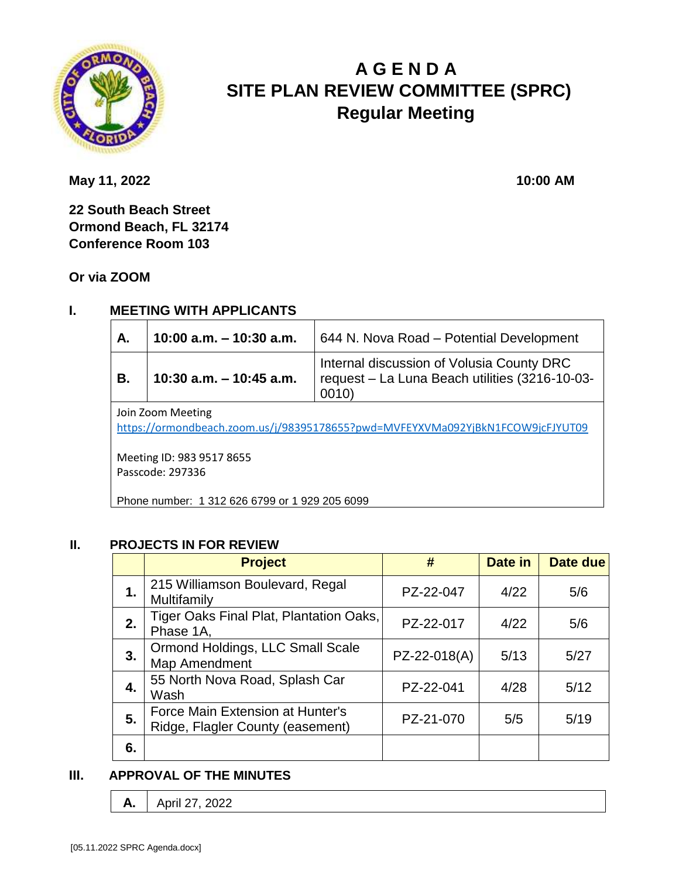

# **A G E N D A SITE PLAN REVIEW COMMITTEE (SPRC) Regular Meeting**

**May 11, 2022** 10:00 **AM** 

**22 South Beach Street Ormond Beach, FL 32174 Conference Room 103**

**Or via ZOOM**

## **I. MEETING WITH APPLICANTS**

| А.                                                                                                  | 10:00 a.m. $-$ 10:30 a.m. | 644 N. Nova Road - Potential Development                                                            |  |  |  |
|-----------------------------------------------------------------------------------------------------|---------------------------|-----------------------------------------------------------------------------------------------------|--|--|--|
| В.                                                                                                  | 10:30 a.m. $-$ 10:45 a.m. | Internal discussion of Volusia County DRC<br>request - La Luna Beach utilities (3216-10-03-<br>0010 |  |  |  |
| Join Zoom Meeting<br>https://ormondbeach.zoom.us/j/98395178655?pwd=MVFEYXVMa092YjBkN1FCOW9jcFJYUT09 |                           |                                                                                                     |  |  |  |
| Meeting ID: 983 9517 8655<br>Passcode: 297336                                                       |                           |                                                                                                     |  |  |  |

Phone number: 1 312 626 6799 or 1 929 205 6099

### **II. PROJECTS IN FOR REVIEW**

|    | <b>Project</b>                                                       | #            | Date in | <b>Date due</b> |
|----|----------------------------------------------------------------------|--------------|---------|-----------------|
| 1. | 215 Williamson Boulevard, Regal<br>Multifamily                       | PZ-22-047    | 4/22    | 5/6             |
| 2. | Tiger Oaks Final Plat, Plantation Oaks,<br>Phase 1A,                 | PZ-22-017    | 4/22    | 5/6             |
| 3. | Ormond Holdings, LLC Small Scale<br>Map Amendment                    | PZ-22-018(A) | 5/13    | 5/27            |
| 4. | 55 North Nova Road, Splash Car<br>Wash                               | PZ-22-041    | 4/28    | 5/12            |
| 5. | Force Main Extension at Hunter's<br>Ridge, Flagler County (easement) | PZ-21-070    | 5/5     | 5/19            |
| 6. |                                                                      |              |         |                 |

#### **III. APPROVAL OF THE MINUTES**

**A.** April 27, 2022